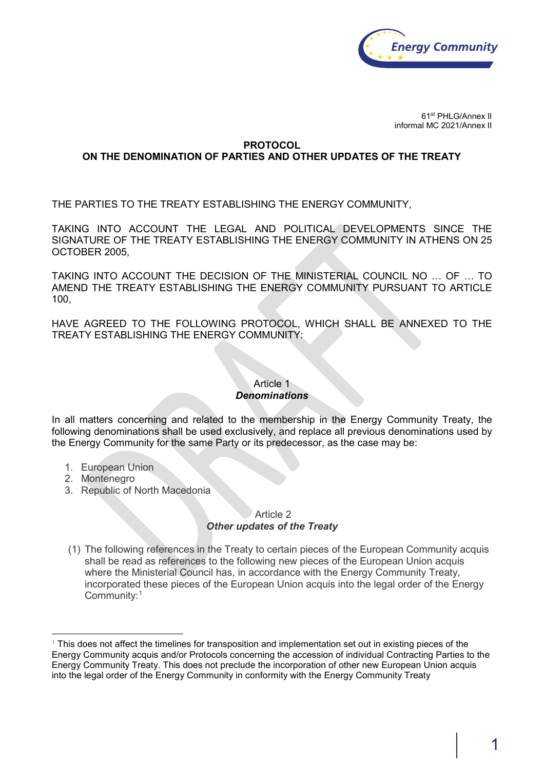

61st PHLG/Annex II informal MC 2021/Annex II

## **PROTOCOL ON THE DENOMINATION OF PARTIES AND OTHER UPDATES OF THE TREATY**

THE PARTIES TO THE TREATY ESTABLISHING THE ENERGY COMMUNITY,

TAKING INTO ACCOUNT THE LEGAL AND POLITICAL DEVELOPMENTS SINCE THE SIGNATURE OF THE TREATY ESTABLISHING THE ENERGY COMMUNITY IN ATHENS ON 25 OCTOBER 2005,

TAKING INTO ACCOUNT THE DECISION OF THE MINISTERIAL COUNCIL NO … OF … TO AMEND THE TREATY ESTABLISHING THE ENERGY COMMUNITY PURSUANT TO ARTICLE 100,

HAVE AGREED TO THE FOLLOWING PROTOCOL, WHICH SHALL BE ANNEXED TO THE TREATY ESTABLISHING THE ENERGY COMMUNITY:

## Article 1 *Denominations*

In all matters concerning and related to the membership in the Energy Community Treaty, the following denominations shall be used exclusively, and replace all previous denominations used by the Energy Community for the same Party or its predecessor, as the case may be:

- 1. European Union
- 2. Montenegro
- 3. Republic of North Macedonia

## Article 2 *Other updates of the Treaty*

(1) The following references in the Treaty to certain pieces of the European Community acquis shall be read as references to the following new pieces of the European Union acquis where the Ministerial Council has, in accordance with the Energy Community Treaty, incorporated these pieces of the European Union acquis into the legal order of the Energy Community:<sup>[1](#page-0-0)</sup>

<span id="page-0-0"></span><sup>&</sup>lt;sup>1</sup> This does not affect the timelines for transposition and implementation set out in existing pieces of the Energy Community acquis and/or Protocols concerning the accession of individual Contracting Parties to the Energy Community Treaty. This does not preclude the incorporation of other new European Union acquis into the legal order of the Energy Community in conformity with the Energy Community Treaty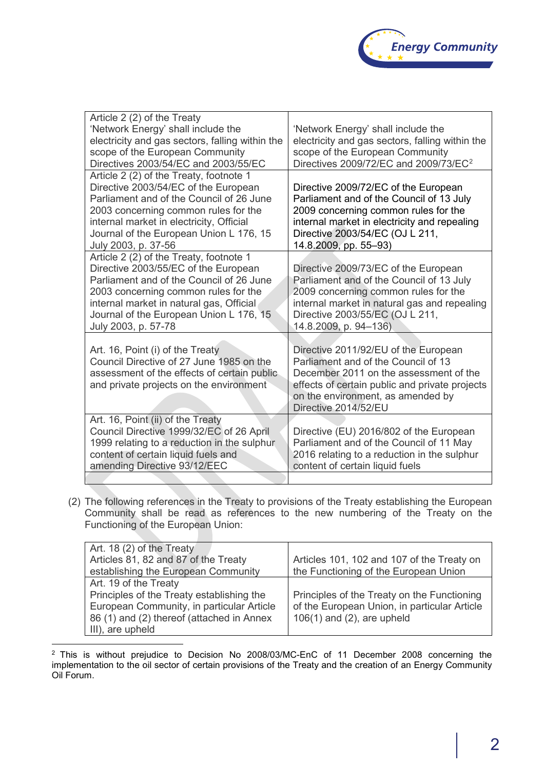

| Article 2 (2) of the Treaty<br>'Network Energy' shall include the<br>electricity and gas sectors, falling within the<br>scope of the European Community<br>Directives 2003/54/EC and 2003/55/EC                                                                                   | 'Network Energy' shall include the<br>electricity and gas sectors, falling within the<br>scope of the European Community<br>Directives 2009/72/EC and 2009/73/EC <sup>2</sup>                                                        |
|-----------------------------------------------------------------------------------------------------------------------------------------------------------------------------------------------------------------------------------------------------------------------------------|--------------------------------------------------------------------------------------------------------------------------------------------------------------------------------------------------------------------------------------|
| Article 2 (2) of the Treaty, footnote 1<br>Directive 2003/54/EC of the European<br>Parliament and of the Council of 26 June<br>2003 concerning common rules for the<br>internal market in electricity, Official<br>Journal of the European Union L 176, 15<br>July 2003, p. 37-56 | Directive 2009/72/EC of the European<br>Parliament and of the Council of 13 July<br>2009 concerning common rules for the<br>internal market in electricity and repealing<br>Directive 2003/54/EC (OJ L 211,<br>14.8.2009, pp. 55-93) |
| Article 2 (2) of the Treaty, footnote 1<br>Directive 2003/55/EC of the European<br>Parliament and of the Council of 26 June<br>2003 concerning common rules for the<br>internal market in natural gas, Official<br>Journal of the European Union L 176, 15<br>July 2003, p. 57-78 | Directive 2009/73/EC of the European<br>Parliament and of the Council of 13 July<br>2009 concerning common rules for the<br>internal market in natural gas and repealing<br>Directive 2003/55/EC (OJ L 211,<br>14.8.2009, p. 94-136) |
| Art. 16, Point (i) of the Treaty<br>Council Directive of 27 June 1985 on the<br>assessment of the effects of certain public<br>and private projects on the environment                                                                                                            | Directive 2011/92/EU of the European<br>Parliament and of the Council of 13<br>December 2011 on the assessment of the<br>effects of certain public and private projects<br>on the environment, as amended by<br>Directive 2014/52/EU |
| Art. 16, Point (ii) of the Treaty<br>Council Directive 1999/32/EC of 26 April<br>1999 relating to a reduction in the sulphur<br>content of certain liquid fuels and<br>amending Directive 93/12/EEC                                                                               | Directive (EU) 2016/802 of the European<br>Parliament and of the Council of 11 May<br>2016 relating to a reduction in the sulphur<br>content of certain liquid fuels                                                                 |

(2) The following references in the Treaty to provisions of the Treaty establishing the European Community shall be read as references to the new numbering of the Treaty on the Functioning of the European Union:

| Art. 18 (2) of the Treaty                 |                                              |
|-------------------------------------------|----------------------------------------------|
| Articles 81, 82 and 87 of the Treaty      | Articles 101, 102 and 107 of the Treaty on   |
| establishing the European Community       | the Functioning of the European Union        |
| Art. 19 of the Treaty                     |                                              |
| Principles of the Treaty establishing the | Principles of the Treaty on the Functioning  |
| European Community, in particular Article | of the European Union, in particular Article |
| 86 (1) and (2) thereof (attached in Annex | $106(1)$ and $(2)$ , are upheld              |
| III), are upheld                          |                                              |
|                                           |                                              |

<span id="page-1-0"></span><sup>2</sup> This is without prejudice to Decision No 2008/03/MC-EnC of 11 December 2008 concerning the implementation to the oil sector of certain provisions of the Treaty and the creation of an Energy Community Oil Forum.